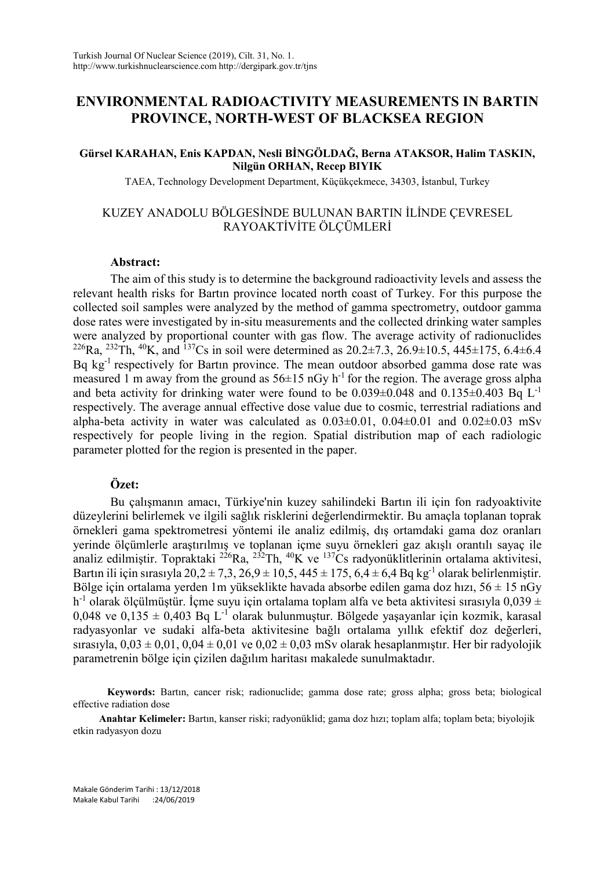# **ENVIRONMENTAL RADIOACTIVITY MEASUREMENTS IN BARTIN PROVINCE, NORTH-WEST OF BLACKSEA REGION**

#### **Gürsel KARAHAN, Enis KAPDAN, Nesli BİNGÖLDAĞ, Berna ATAKSOR, Halim TASKIN, Nilgün ORHAN, Recep BIYIK**

TAEA, Technology Development Department, Küçükçekmece, 34303, İstanbul, Turkey

# KUZEY ANADOLU BÖLGESİNDE BULUNAN BARTIN İLİNDE ÇEVRESEL RAYOAKTİVİTE ÖLÇÜMLERİ

#### **Abstract:**

The aim of this study is to determine the background radioactivity levels and assess the relevant health risks for Bartın province located north coast of Turkey. For this purpose the collected soil samples were analyzed by the method of gamma spectrometry, outdoor gamma dose rates were investigated by in-situ measurements and the collected drinking water samples were analyzed by proportional counter with gas flow. The average activity of radionuclides <sup>226</sup>Ra, <sup>232</sup>Th, <sup>40</sup>K, and <sup>137</sup>Cs in soil were determined as 20.2±7.3, 26.9±10.5, 445±175, 6.4±6.4 Bq kg<sup>-1</sup> respectively for Bartin province. The mean outdoor absorbed gamma dose rate was measured 1 m away from the ground as  $56\pm15$  nGy h<sup>-1</sup> for the region. The average gross alpha and beta activity for drinking water were found to be  $0.039\pm0.048$  and  $0.135\pm0.403$  Bq L<sup>-1</sup> respectively. The average annual effective dose value due to cosmic, terrestrial radiations and alpha-beta activity in water was calculated as  $0.03\pm0.01$ ,  $0.04\pm0.01$  and  $0.02\pm0.03$  mSv respectively for people living in the region. Spatial distribution map of each radiologic parameter plotted for the region is presented in the paper.

# **Özet:**

Bu çalışmanın amacı, Türkiye'nin kuzey sahilindeki Bartın ili için fon radyoaktivite düzeylerini belirlemek ve ilgili sağlık risklerini değerlendirmektir. Bu amaçla toplanan toprak örnekleri gama spektrometresi yöntemi ile analiz edilmiş, dış ortamdaki gama doz oranları yerinde ölçümlerle araştırılmış ve toplanan içme suyu örnekleri gaz akışlı orantılı sayaç ile analiz edilmiştir. Topraktaki <sup>226</sup>Ra, <sup>232</sup>Th, <sup>40</sup>K ve <sup>137</sup>Cs radyonüklitlerinin ortalama aktivitesi, Bartın ili için sırasıyla 20,2 ± 7,3, 26,9 ± 10,5, 445 ± 175, 6,4 ± 6,4 Bq kg<sup>-1</sup> olarak belirlenmiştir. Bölge için ortalama yerden 1m yükseklikte havada absorbe edilen gama doz hızı,  $56 \pm 15$  nGy h<sup>-1</sup> olarak ölçülmüştür. İçme suyu için ortalama toplam alfa ve beta aktivitesi sırasıyla  $0.039 \pm 1$ 0,048 ve 0,135  $\pm$  0,403 Bq L<sup>-1</sup> olarak bulunmustur. Bölgede yasayanlar için kozmik, karasal radyasyonlar ve sudaki alfa-beta aktivitesine bağlı ortalama yıllık efektif doz değerleri, sırasıyla,  $0.03 \pm 0.01$ ,  $0.04 \pm 0.01$  ve  $0.02 \pm 0.03$  mSv olarak hesaplanmıştır. Her bir radyolojik parametrenin bölge için çizilen dağılım haritası makalede sunulmaktadır.

 **Keywords:** Bartın, cancer risk; radionuclide; gamma dose rate; gross alpha; gross beta; biological effective radiation dose

 **Anahtar Kelimeler:** Bartın, kanser riski; radyonüklid; gama doz hızı; toplam alfa; toplam beta; biyolojik etkin radyasyon dozu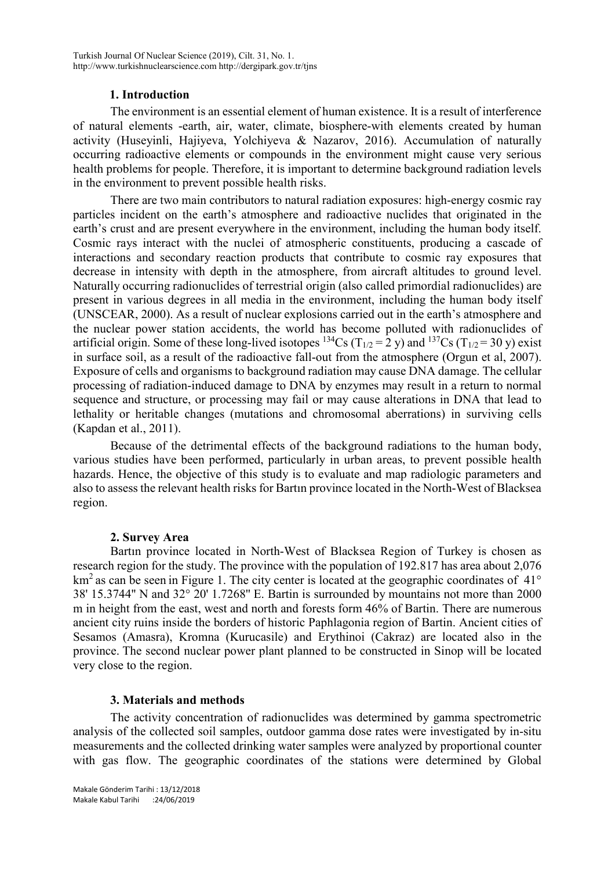### **1. Introduction**

The environment is an essential element of human existence. It is a result of interference of natural elements -earth, air, water, climate, biosphere-with elements created by human activity (Huseyinli, Hajiyeva, Yolchiyeva & Nazarov, 2016). Accumulation of naturally occurring radioactive elements or compounds in the environment might cause very serious health problems for people. Therefore, it is important to determine background radiation levels in the environment to prevent possible health risks.

There are two main contributors to natural radiation exposures: high-energy cosmic ray particles incident on the earth's atmosphere and radioactive nuclides that originated in the earth's crust and are present everywhere in the environment, including the human body itself. Cosmic rays interact with the nuclei of atmospheric constituents, producing a cascade of interactions and secondary reaction products that contribute to cosmic ray exposures that decrease in intensity with depth in the atmosphere, from aircraft altitudes to ground level. Naturally occurring radionuclides of terrestrial origin (also called primordial radionuclides) are present in various degrees in all media in the environment, including the human body itself (UNSCEAR, 2000). As a result of nuclear explosions carried out in the earth's atmosphere and the nuclear power station accidents, the world has become polluted with radionuclides of artificial origin. Some of these long-lived isotopes <sup>134</sup>Cs (T<sub>1/2</sub> = 2 y) and <sup>137</sup>Cs (T<sub>1/2</sub> = 30 y) exist in surface soil, as a result of the radioactive fall-out from the atmosphere (Orgun et al, 2007). Exposure of cells and organisms to background radiation may cause DNA damage. The cellular processing of radiation-induced damage to DNA by enzymes may result in a return to normal sequence and structure, or processing may fail or may cause alterations in DNA that lead to lethality or heritable changes (mutations and chromosomal aberrations) in surviving cells (Kapdan et al., 2011).

Because of the detrimental effects of the background radiations to the human body, various studies have been performed, particularly in urban areas, to prevent possible health hazards. Hence, the objective of this study is to evaluate and map radiologic parameters and also to assess the relevant health risks for Bartın province located in the North-West of Blacksea region.

#### **2. Survey Area**

Bartın province located in North-West of Blacksea Region of Turkey is chosen as research region for the study. The province with the population of 192.817 has area about 2,076  $km<sup>2</sup>$  as can be seen in Figure 1. The city center is located at the geographic coordinates of 41 $\degree$ 38' 15.3744'' N and 32° 20' 1.7268'' E. Bartin is surrounded by mountains not more than 2000 m in height from the east, west and north and forests form 46% of Bartin. There are numerous ancient city ruins inside the borders of historic Paphlagonia [region](http://www.allaboutturkey.com/regions.htm) of Bartin. Ancient cities of Sesamos (Amasra), Kromna (Kurucasile) and Erythinoi (Cakraz) are located also in the province. The second nuclear power plant planned to be constructed in Sinop will be located very close to the region.

#### **3. Materials and methods**

The activity concentration of radionuclides was determined by gamma spectrometric analysis of the collected soil samples, outdoor gamma dose rates were investigated by in-situ measurements and the collected drinking water samples were analyzed by proportional counter with gas flow. The geographic coordinates of the stations were determined by Global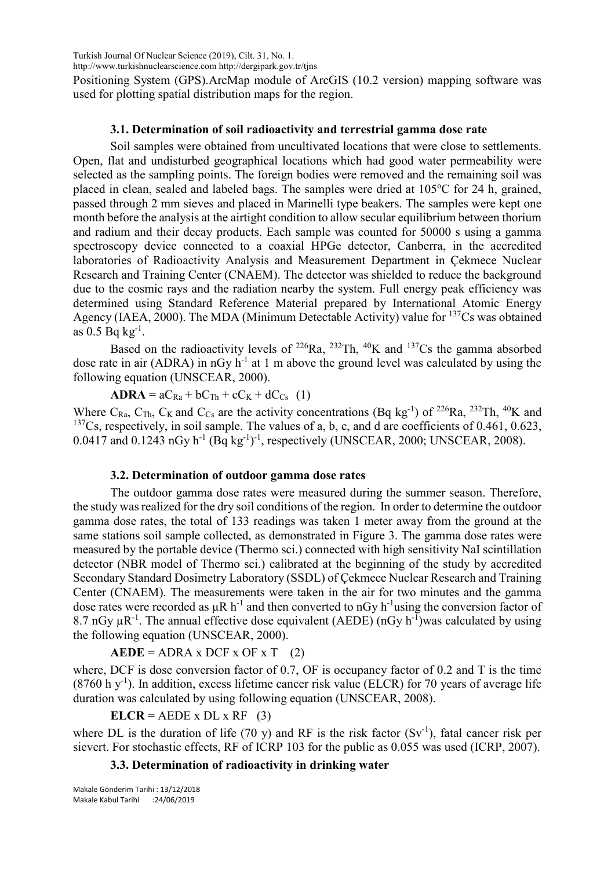Turkish Journal Of Nuclear Science (2019), Cilt. 31, No. 1.

http://www.turkishnuclearscience.com http://dergipark.gov.tr/tjns

Positioning System (GPS).ArcMap module of ArcGIS (10.2 version) mapping software was used for plotting spatial distribution maps for the region.

### **3.1. Determination of soil radioactivity and terrestrial gamma dose rate**

Soil samples were obtained from uncultivated locations that were close to settlements. Open, flat and undisturbed geographical locations which had good water permeability were selected as the sampling points. The foreign bodies were removed and the remaining soil was placed in clean, sealed and labeled bags. The samples were dried at 105°C for 24 h, grained, passed through 2 mm sieves and placed in Marinelli type beakers. The samples were kept one month before the analysis at the airtight condition to allow secular equilibrium between thorium and radium and their decay products. Each sample was counted for 50000 s using a gamma spectroscopy device connected to a coaxial HPGe detector, Canberra, in the accredited laboratories of Radioactivity Analysis and Measurement Department in Çekmece Nuclear Research and Training Center (CNAEM). The detector was shielded to reduce the background due to the cosmic rays and the radiation nearby the system. Full energy peak efficiency was determined using Standard Reference Material prepared by International Atomic Energy Agency (IAEA, 2000). The MDA (Minimum Detectable Activity) value for <sup>137</sup>Cs was obtained as  $0.5$  Bq  $kg^{-1}$ .

Based on the radioactivity levels of  $^{226}Ra$ ,  $^{232}Th$ ,  $^{40}K$  and  $^{137}Cs$  the gamma absorbed dose rate in air (ADRA) in nGy  $h^{-1}$  at 1 m above the ground level was calculated by using the following equation (UNSCEAR, 2000).

 $\mathbf{ADRA} = aC_{Ra} + bC_{Th} + cC_{K} + dC_{Cs}$  (1)

Where C<sub>Ra</sub>, C<sub>Th</sub>, C<sub>K</sub> and C<sub>Cs</sub> are the activity concentrations (Bq kg<sup>-1</sup>) of <sup>226</sup>Ra, <sup>232</sup>Th, <sup>40</sup>K and  $137Cs$ , respectively, in soil sample. The values of a, b, c, and d are coefficients of 0.461, 0.623, 0.0417 and 0.1243 nGy  $h^{-1}$  (Bq kg<sup>-1</sup>)<sup>-1</sup>, respectively (UNSCEAR, 2000; UNSCEAR, 2008).

#### **3.2. Determination of outdoor gamma dose rates**

The outdoor gamma dose rates were measured during the summer season. Therefore, the study was realized for the dry soil conditions of the region. In order to determine the outdoor gamma dose rates, the total of 133 readings was taken 1 meter away from the ground at the same stations soil sample collected, as demonstrated in Figure 3. The gamma dose rates were measured by the portable device (Thermo sci.) connected with high sensitivity NaI scintillation detector (NBR model of Thermo sci.) calibrated at the beginning of the study by accredited Secondary Standard Dosimetry Laboratory (SSDL) of Çekmece Nuclear Research and Training Center (CNAEM). The measurements were taken in the air for two minutes and the gamma dose rates were recorded as  $\mu$ R h<sup>-1</sup> and then converted to nGy h<sup>-1</sup> using the conversion factor of 8.7 nGy  $\mu$ R<sup>-1</sup>. The annual effective dose equivalent (AEDE) (nGy h<sup>-1</sup>)was calculated by using the following equation (UNSCEAR, 2000).

 $AEDE = ADRA \times DCF \times OF \times T$  (2)

where, DCF is dose conversion factor of 0.7, OF is occupancy factor of 0.2 and T is the time  $(8760 \text{ h y}^{-1})$ . In addition, excess lifetime cancer risk value (ELCR) for 70 years of average life duration was calculated by using following equation (UNSCEAR, 2008).

 $ELCR = AEDE x DL x RF (3)$ 

where DL is the duration of life (70 y) and RF is the risk factor  $(Sv<sup>-1</sup>)$ , fatal cancer risk per sievert. For stochastic effects, RF of ICRP 103 for the public as 0.055 was used (ICRP, 2007).

### **3.3. Determination of radioactivity in drinking water**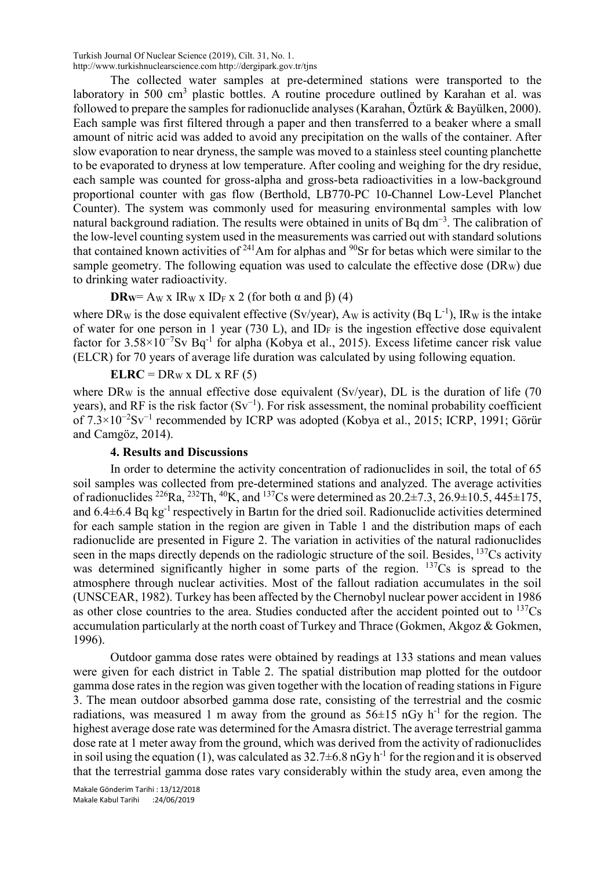Turkish Journal Of Nuclear Science (2019), Cilt. 31, No. 1. http://www.turkishnuclearscience.com http://dergipark.gov.tr/tjns

The collected water samples at pre-determined stations were transported to the laboratory in 500  $\text{cm}^3$  plastic bottles. A routine procedure outlined by Karahan et al. was followed to prepare the samples for radionuclide analyses (Karahan, Öztürk & Bayülken, 2000). Each sample was first filtered through a paper and then transferred to a beaker where a small amount of nitric acid was added to avoid any precipitation on the walls of the container. After slow evaporation to near dryness, the sample was moved to a stainless steel counting planchette to be evaporated to dryness at low temperature. After cooling and weighing for the dry residue, each sample was counted for gross-alpha and gross-beta radioactivities in a low-background proportional counter with gas flow (Berthold, LB770-PC 10-Channel Low-Level Planchet Counter). The system was commonly used for measuring environmental samples with low natural background radiation. The results were obtained in units of Bq dm<sup>-3</sup>. The calibration of the low-level counting system used in the measurements was carried out with standard solutions that contained known activities of  $241$ Am for alphas and  $90$ Sr for betas which were similar to the sample geometry. The following equation was used to calculate the effective dose  $(DR_W)$  due to drinking water radioactivity.

**DR**W = Aw x IRw x ID<sub>F</sub> x 2 (for both  $\alpha$  and  $\beta$ ) (4)

where DR<sub>W</sub> is the dose equivalent effective (Sv/year), A<sub>W</sub> is activity (Bq  $L^{-1}$ ), IR<sub>W</sub> is the intake of water for one person in 1 year (730 L), and ID<sub>F</sub> is the ingestion effective dose equivalent factor for 3.58×10<sup>−</sup><sup>7</sup> Sv Bq-1 for alpha (Kobya et al., 2015). Excess lifetime cancer risk value (ELCR) for 70 years of average life duration was calculated by using following equation.

 $ELRC = DR_W x DL x RF (5)$ 

where DRw is the annual effective dose equivalent (Sv/year), DL is the duration of life (70) years), and RF is the risk factor  $(Sv^{-1})$ . For risk assessment, the nominal probability coefficient of 7.3×10<sup>−</sup><sup>2</sup> Sv<sup>−</sup><sup>1</sup> recommended by ICRP was adopted (Kobya et al., 2015; ICRP, 1991; Görür and Camgöz, 2014).

# **4. Results and Discussions**

In order to determine the activity concentration of radionuclides in soil, the total of 65 soil samples was collected from pre-determined stations and analyzed. The average activities of radionuclides <sup>226</sup>Ra, <sup>232</sup>Th, <sup>40</sup>K, and <sup>137</sup>Cs were determined as  $20.2\pm7.3$ ,  $26.9\pm10.5$ ,  $445\pm175$ , and  $6.4\pm6.4$  Bq kg<sup>-1</sup> respectively in Bartin for the dried soil. Radionuclide activities determined for each sample station in the region are given in Table 1 and the distribution maps of each radionuclide are presented in Figure 2. The variation in activities of the natural radionuclides seen in the maps directly depends on the radiologic structure of the soil. Besides, <sup>137</sup>Cs activity was determined significantly higher in some parts of the region.  $137Cs$  is spread to the atmosphere through nuclear activities. Most of the fallout radiation accumulates in the soil (UNSCEAR, 1982). Turkey has been affected by the Chernobyl nuclear power accident in 1986 as other close countries to the area. Studies conducted after the accident pointed out to  $^{137}Cs$ accumulation particularly at the north coast of Turkey and Thrace (Gokmen, Akgoz & Gokmen, 1996).

Outdoor gamma dose rates were obtained by readings at 133 stations and mean values were given for each district in Table 2. The spatial distribution map plotted for the outdoor gamma dose rates in the region was given together with the location of reading stations in Figure 3. The mean outdoor absorbed gamma dose rate, consisting of the terrestrial and the cosmic radiations, was measured 1 m away from the ground as  $56\pm15$  nGy h<sup>-1</sup> for the region. The highest average dose rate was determined for the Amasra district. The average terrestrial gamma dose rate at 1 meter away from the ground, which was derived from the activity of radionuclides in soil using the equation (1), was calculated as  $32.7\pm6.8$  nGy h<sup>-1</sup> for the region and it is observed that the terrestrial gamma dose rates vary considerably within the study area, even among the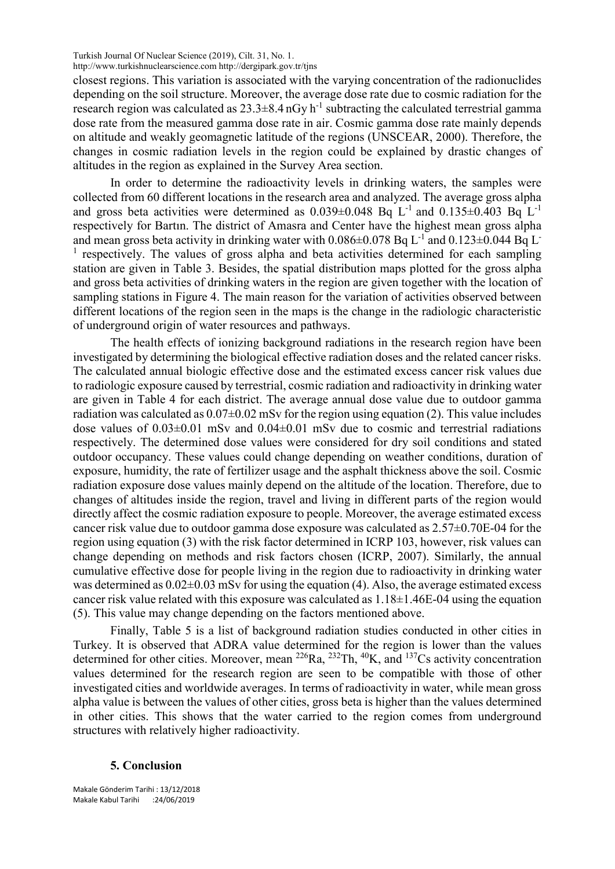Turkish Journal Of Nuclear Science (2019), Cilt. 31, No. 1.

http://www.turkishnuclearscience.com http://dergipark.gov.tr/tjns

closest regions. This variation is associated with the varying concentration of the radionuclides depending on the soil structure. Moreover, the average dose rate due to cosmic radiation for the research region was calculated as  $23.3\pm8.4$  nGy h<sup>-1</sup> subtracting the calculated terrestrial gamma dose rate from the measured gamma dose rate in air. Cosmic gamma dose rate mainly depends on altitude and weakly geomagnetic latitude of the regions (UNSCEAR, 2000). Therefore, the changes in cosmic radiation levels in the region could be explained by drastic changes of altitudes in the region as explained in the Survey Area section.

In order to determine the radioactivity levels in drinking waters, the samples were collected from 60 different locations in the research area and analyzed. The average gross alpha and gross beta activities were determined as  $0.039\pm0.048$  Bq L<sup>-1</sup> and  $0.135\pm0.403$  Bq L<sup>-1</sup> respectively for Bartın. The district of Amasra and Center have the highest mean gross alpha and mean gross beta activity in drinking water with  $0.086\pm0.078$  Bq L<sup>-1</sup> and  $0.123\pm0.044$  Bq L<sup>-</sup> <sup>1</sup> respectively. The values of gross alpha and beta activities determined for each sampling station are given in Table 3. Besides, the spatial distribution maps plotted for the gross alpha and gross beta activities of drinking waters in the region are given together with the location of sampling stations in Figure 4. The main reason for the variation of activities observed between different locations of the region seen in the maps is the change in the radiologic characteristic of underground origin of water resources and pathways.

The health effects of ionizing background radiations in the research region have been investigated by determining the biological effective radiation doses and the related cancer risks. The calculated annual biologic effective dose and the estimated excess cancer risk values due to radiologic exposure caused by terrestrial, cosmic radiation and radioactivity in drinking water are given in Table 4 for each district. The average annual dose value due to outdoor gamma radiation was calculated as  $0.07\pm0.02$  mSv for the region using equation (2). This value includes dose values of  $0.03\pm0.01$  mSv and  $0.04\pm0.01$  mSv due to cosmic and terrestrial radiations respectively. The determined dose values were considered for dry soil conditions and stated outdoor occupancy. These values could change depending on weather conditions, duration of exposure, humidity, the rate of fertilizer usage and the asphalt thickness above the soil. Cosmic radiation exposure dose values mainly depend on the altitude of the location. Therefore, due to changes of altitudes inside the region, travel and living in different parts of the region would directly affect the cosmic radiation exposure to people. Moreover, the average estimated excess cancer risk value due to outdoor gamma dose exposure was calculated as 2.57±0.70E-04 for the region using equation (3) with the risk factor determined in ICRP 103, however, risk values can change depending on methods and risk factors chosen (ICRP, 2007). Similarly, the annual cumulative effective dose for people living in the region due to radioactivity in drinking water was determined as  $0.02\pm0.03$  mSv for using the equation (4). Also, the average estimated excess cancer risk value related with this exposure was calculated as 1.18±1.46E-04 using the equation (5). This value may change depending on the factors mentioned above.

Finally, Table 5 is a list of background radiation studies conducted in other cities in Turkey. It is observed that ADRA value determined for the region is lower than the values determined for other cities. Moreover, mean <sup>226</sup>Ra, <sup>232</sup>Th, <sup>40</sup>K, and <sup>137</sup>Cs activity concentration values determined for the research region are seen to be compatible with those of other investigated cities and worldwide averages. In terms of radioactivity in water, while mean gross alpha value is between the values of other cities, gross beta is higher than the values determined in other cities. This shows that the water carried to the region comes from underground structures with relatively higher radioactivity.

#### **5. Conclusion**

Makale Gönderim Tarihi : 13/12/2018 Makale Kabul Tarihi :24/06/2019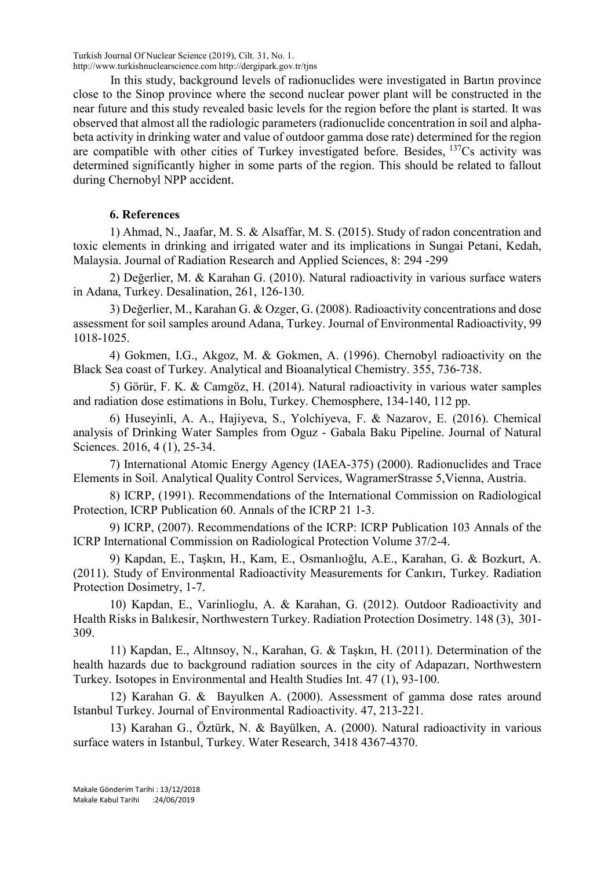Turkish Journal Of Nuclear Science (2019), Cilt. 31, No. 1. http://www.turkishnuclearscience.com http://dergipark.gov.tr/tjns

In this study, background levels of radionuclides were investigated in Bartın province close to the Sinop province where the second nuclear power plant will be constructed in the near future and this study revealed basic levels for the region before the plant is started. It was observed that almost all the radiologic parameters (radionuclide concentration in soil and alphabeta activity in drinking water and value of outdoor gamma dose rate) determined for the region are compatible with other cities of Turkey investigated before. Besides,  $137Cs$  activity was determined significantly higher in some parts of the region. This should be related to fallout during Chernobyl NPP accident.

# **6. References**

1) Ahmad, N., Jaafar, M. S. & Alsaffar, M. S. (2015). Study of radon concentration and toxic elements in drinking and irrigated water and its implications in Sungai Petani, Kedah, Malaysia. Journal of Radiation Research and Applied Sciences, 8: 294 -299

2) Değerlier, M. & Karahan G. (2010). Natural radioactivity in various surface waters in Adana, Turkey. Desalination, 261, 126-130.

3) Değerlier, M., Karahan G. & Ozger, G. (2008). Radioactivity concentrations and dose assessment for soil samples around Adana, Turkey. Journal of Environmental Radioactivity, 99 1018-1025.

4) Gokmen, I.G., Akgoz, M. & Gokmen, A. (1996). Chernobyl radioactivity on the Black Sea coast of Turkey. Analytical and Bioanalytical Chemistry. 355, 736-738.

5) Görür, F. K. & Camgöz, H. (2014). Natural radioactivity in various water samples and radiation dose estimations in Bolu, Turkey. Chemosphere, 134-140, 112 pp.

6) Huseyinli, A. A., Hajiyeva, S., Yolchiyeva, F. & Nazarov, E. (2016). Chemical analysis of Drinking Water Samples from Oguz - Gabala Baku Pipeline. Journal of Natural Sciences. 2016, 4 (1), 25-34.

7) International Atomic Energy Agency (IAEA-375) (2000). Radionuclides and Trace Elements in Soil. Analytical Quality Control Services, WagramerStrasse 5,Vienna, Austria.

8) ICRP, (1991). Recommendations of the International Commission on Radiological Protection, ICRP Publication 60. Annals of the ICRP 21 1-3.

9) ICRP, (2007). Recommendations of the ICRP: ICRP Publication 103 Annals of the ICRP International Commission on Radiological Protection Volume 37/2-4.

9) Kapdan, E., Taşkın, H., Kam, E., Osmanlıoğlu, A.E., Karahan, G. & Bozkurt, A. (2011). Study of Environmental Radioactivity Measurements for Cankırı, Turkey. Radiation Protection Dosimetry, 1-7.

10) Kapdan, E., Varinlioglu, A. & Karahan, G. (2012). Outdoor Radioactivity and Health Risks in Balıkesir, Northwestern Turkey. Radiation Protection Dosimetry. 148 (3), 301- 309.

11) Kapdan, E., Altınsoy, N., Karahan, G. & Taşkın, H. (2011). Determination of the health hazards due to background radiation sources in the city of Adapazarı, Northwestern Turkey. Isotopes in Environmental and Health Studies Int. 47 (1), 93-100.

12) Karahan G. & Bayulken A. (2000). Assessment of gamma dose rates around Istanbul Turkey. Journal of Environmental Radioactivity. 47, 213-221.

13) Karahan G., Öztürk, N. & Bayülken, A. (2000). Natural radioactivity in various surface waters in Istanbul, Turkey. Water Research, 3418 4367-4370.